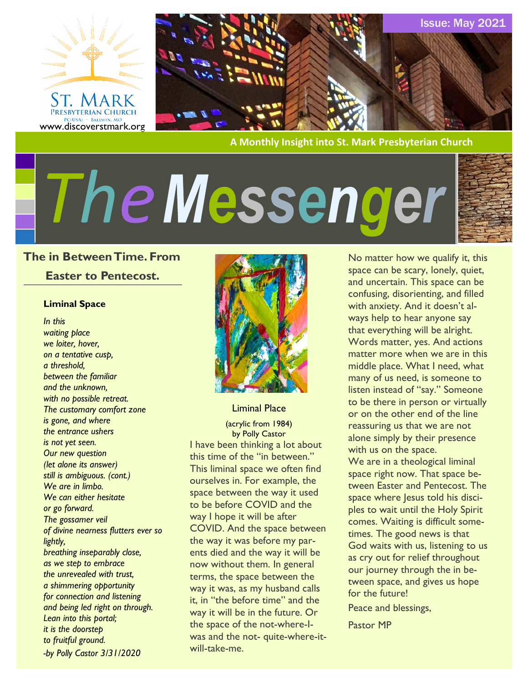



**A Monthly Insight into St. Mark Presbyterian Church**

# *The*



#### **The in Between Time. From**

#### **Easter to Pentecost.**

#### **Liminal Space**

*In this waiting place we loiter, hover, on a tentative cusp, a threshold, between the familiar and the unknown, with no possible retreat. The customary comfort zone is gone, and where the entrance ushers is not yet seen. Our new question (let alone its answer) still is ambiguous. (cont.) We are in limbo. We can either hesitate or go forward. The gossamer veil of divine nearness flutters ever so lightly, breathing inseparably close, as we step to embrace the unrevealed with trust, a shimmering opportunity for connection and listening and being led right on through. Lean into this portal; it is the doorstep to fruitful ground. -by Polly Castor 3/31/2020*



Liminal Place

(acrylic from 1984) by Polly Castor

I have been thinking a lot about this time of the "in between." This liminal space we often find ourselves in. For example, the space between the way it used to be before COVID and the way I hope it will be after COVID. And the space between the way it was before my parents died and the way it will be now without them. In general terms, the space between the way it was, as my husband calls it, in "the before time" and the way it will be in the future. Or the space of the not-where-Iwas and the not- quite-where-itwill-take-me.

No matter how we qualify it, this space can be scary, lonely, quiet, and uncertain. This space can be confusing, disorienting, and filled with anxiety. And it doesn't always help to hear anyone say that everything will be alright. Words matter, yes. And actions matter more when we are in this middle place. What I need, what many of us need, is someone to listen instead of "say." Someone to be there in person or virtually or on the other end of the line reassuring us that we are not alone simply by their presence with us on the space.

We are in a theological liminal space right now. That space between Easter and Pentecost. The space where Jesus told his disciples to wait until the Holy Spirit comes. Waiting is difficult sometimes. The good news is that God waits with us, listening to us as cry out for relief throughout our journey through the in between space, and gives us hope for the future!

Peace and blessings,

Pastor MP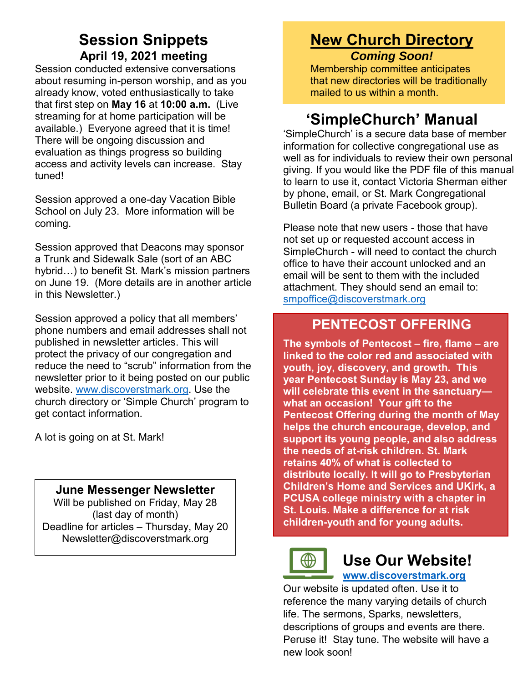# **Session Snippets April 19, 2021 meeting**

Session conducted extensive conversations about resuming in-person worship, and as you already know, voted enthusiastically to take that first step on **May 16** at **10:00 a.m.** (Live streaming for at home participation will be available.) Everyone agreed that it is time! There will be ongoing discussion and evaluation as things progress so building access and activity levels can increase. Stay tuned!

Session approved a one-day Vacation Bible School on July 23. More information will be coming.

Session approved that Deacons may sponsor a Trunk and Sidewalk Sale (sort of an ABC hybrid…) to benefit St. Mark's mission partners on June 19. (More details are in another article in this Newsletter.)

Session approved a policy that all members' phone numbers and email addresses shall not published in newsletter articles. This will protect the privacy of our congregation and reduce the need to "scrub" information from the newsletter prior to it being posted on our public website. [www.discoverstmark.org.](http://www.discoverstmark.org/) Use the church directory or 'Simple Church' program to get contact information.

A lot is going on at St. Mark!

### **June Messenger Newsletter**

Will be published on Friday, May 28 (last day of month) Deadline for articles – Thursday, May 20 Newsletter@discoverstmark.org

# **New Church Directory** *Coming Soon!*

Membership committee anticipates that new directories will be traditionally mailed to us within a month.

# **'SimpleChurch' Manual**

'SimpleChurch' is a secure data base of member information for collective congregational use as well as for individuals to review their own personal giving. If you would like the PDF file of this manual to learn to use it, contact Victoria Sherman either by phone, email, or St. Mark Congregational Bulletin Board (a private Facebook group).

Please note that new users - those that have not set up or requested account access in SimpleChurch - will need to contact the church office to have their account unlocked and an email will be sent to them with the included attachment. They should send an email to: [smpoffice@discoverstmark.org](mailto:smpoffice@discoverstmark.org)

# **PENTECOST OFFERING**

**The symbols of Pentecost – fire, flame – are linked to the color red and associated with youth, joy, discovery, and growth. This year Pentecost Sunday is May 23, and we will celebrate this event in the sanctuary what an occasion! Your gift to the Pentecost Offering during the month of May helps the church encourage, develop, and support its young people, and also address the needs of at-risk children. St. Mark retains 40% of what is collected to distribute locally. It will go to Presbyterian Children's Home and Services and UKirk, a PCUSA college ministry with a chapter in St. Louis. Make a difference for at risk children-youth and for young adults.**



# **Use Our Website!**

#### **[www.discoverstmark.org](http://www.discoverstmark.org/)**

Our website is updated often. Use it to reference the many varying details of church life. The sermons, Sparks, newsletters, descriptions of groups and events are there. Peruse it! Stay tune. The website will have a new look soon!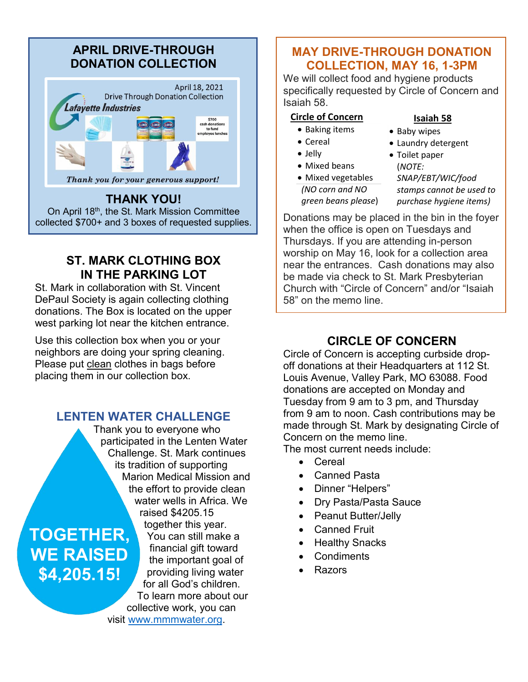# **APRIL DRIVE-THROUGH DONATION COLLECTION**



On April 18<sup>th</sup>, the St. Mark Mission Committee collected \$700+ and 3 boxes of requested supplies.

## **ST. MARK CLOTHING BOX IN THE PARKING LOT**

St. Mark in collaboration with St. Vincent DePaul Society is again collecting clothing donations. The Box is located on the upper west parking lot near the kitchen entrance.

Use this collection box when you or your neighbors are doing your spring cleaning. Please put clean clothes in bags before placing them in our collection box.

## **LENTEN WATER CHALLENGE**

Thank you to everyone who participated in the Lenten Water Challenge. St. Mark continues its tradition of supporting Marion Medical Mission and the effort to provide clean water wells in Africa. We raised \$4205.15

**TOGETHER, WE RAISED \$4,205.15!**

together this year. You can still make a financial gift toward the important goal of providing living water for all God's children. To learn more about our collective work, you can visit [www.mmmwater.org.](http://www.mmmwater.org/)

## **MAY DRIVE-THROUGH DONATION COLLECTION, MAY 16, 1-3PM**

We will collect food and hygiene products specifically requested by Circle of Concern and Isaiah 58.

#### **Circle of Concern**

- Baking items
- Cereal
- Jelly
- Mixed beans
- Laundry detergent • Toilet paper

• Baby wipes

**Isaiah 58**

• Mixed vegetables *(NO corn and NO* 

*green beans please*)

(*NOTE: SNAP/EBT/WIC/food stamps cannot be used to purchase hygiene items)*

Donations may be placed in the bin in the foyer when the office is open on Tuesdays and Thursdays. If you are attending in-person worship on May 16, look for a collection area near the entrances. Cash donations may also be made via check to St. Mark Presbyterian Church with "Circle of Concern" and/or "Isaiah 58" on the memo line.

# **CIRCLE OF CONCERN**

Circle of Concern is accepting curbside dropoff donations at their Headquarters at 112 St. Louis Avenue, Valley Park, MO 63088. Food donations are accepted on Monday and Tuesday from 9 am to 3 pm, and Thursday from 9 am to noon. Cash contributions may be made through St. Mark by designating Circle of Concern on the memo line.

The most current needs include:

- Cereal
- Canned Pasta
- Dinner "Helpers"
- Dry Pasta/Pasta Sauce
- Peanut Butter/Jelly
- **Canned Fruit**
- **Healthy Snacks**
- **Condiments**
- Razors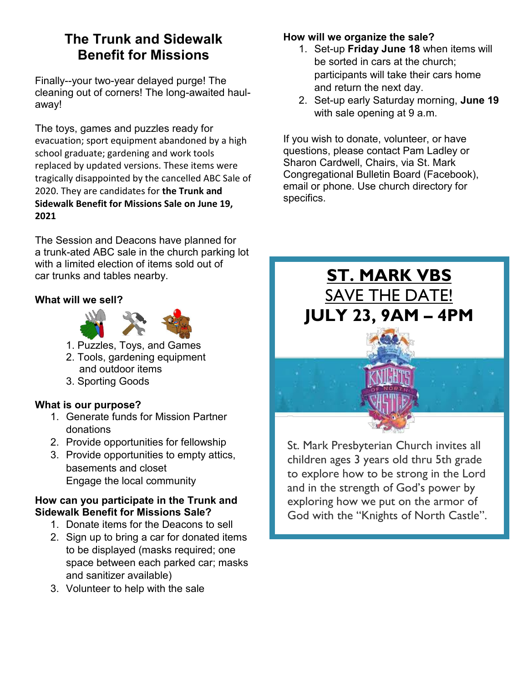# **The Trunk and Sidewalk Benefit for Missions**

Finally--your two-year delayed purge! The cleaning out of corners! The long-awaited haulaway!

The toys, games and puzzles ready for evacuation; sport equipment abandoned by a high school graduate; gardening and work tools replaced by updated versions. These items were tragically disappointed by the cancelled ABC Sale of 2020. They are candidates for **the Trunk and Sidewalk Benefit for Missions Sale on June 19, 2021**

The Session and Deacons have planned for a trunk-ated ABC sale in the church parking lot with a limited election of items sold out of car trunks and tables nearby.

#### **What will we sell?**



- 1. Puzzles, Toys, and Games
- 2. Tools, gardening equipment and outdoor items
- 3. Sporting Goods

#### **What is our purpose?**

- 1. Generate funds for Mission Partner donations
- 2. Provide opportunities for fellowship
- 3. Provide opportunities to empty attics, basements and closet Engage the local community

#### **How can you participate in the Trunk and Sidewalk Benefit for Missions Sale?**

- 1. Donate items for the Deacons to sell
- 2. Sign up to bring a car for donated items to be displayed (masks required; one space between each parked car; masks and sanitizer available)
- 3. Volunteer to help with the sale

#### **How will we organize the sale?**

- 1. Set-up **Friday June 18** when items will be sorted in cars at the church; participants will take their cars home and return the next day.
- 2. Set-up early Saturday morning, **June 19** with sale opening at 9 a.m.

If you wish to donate, volunteer, or have questions, please contact Pam Ladley or Sharon Cardwell, Chairs, via St. Mark Congregational Bulletin Board (Facebook), email or phone. Use church directory for specifics.



St. Mark Presbyterian Church invites all children ages 3 years old thru 5th grade to explore how to be strong in the Lord and in the strength of God's power by exploring how we put on the armor of God with the "Knights of North Castle".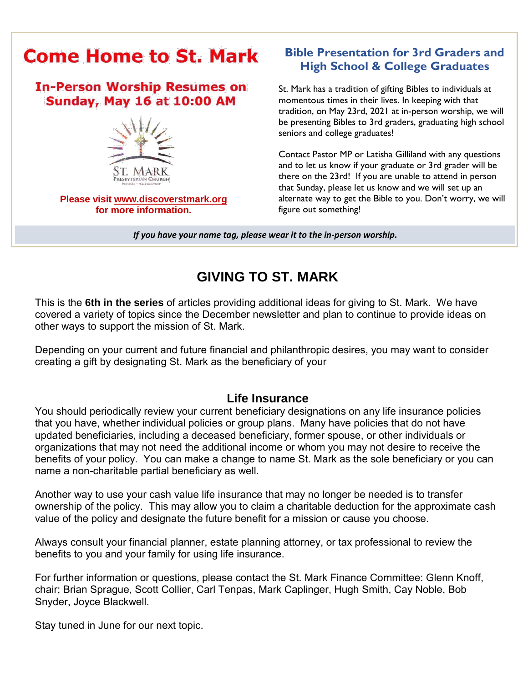

# **Bible Presentation for 3rd Graders and High School & College Graduates**

St. Mark has a tradition of gifting Bibles to individuals at momentous times in their lives. In keeping with that tradition, on May 23rd, 2021 at in-person worship, we will be presenting Bibles to 3rd graders, graduating high school seniors and college graduates!

Contact Pastor MP or Latisha Gilliland with any questions and to let us know if your graduate or 3rd grader will be there on the 23rd! If you are unable to attend in person that Sunday, please let us know and we will set up an alternate way to get the Bible to you. Don't worry, we will figure out something!

*If you have your name tag, please wear it to the in-person worship.*

# **GIVING TO ST. MARK**

This is the **6th in the series** of articles providing additional ideas for giving to St. Mark. We have covered a variety of topics since the December newsletter and plan to continue to provide ideas on other ways to support the mission of St. Mark.

Depending on your current and future financial and philanthropic desires, you may want to consider creating a gift by designating St. Mark as the beneficiary of your

### **Life Insurance**

You should periodically review your current beneficiary designations on any life insurance policies that you have, whether individual policies or group plans. Many have policies that do not have updated beneficiaries, including a deceased beneficiary, former spouse, or other individuals or organizations that may not need the additional income or whom you may not desire to receive the benefits of your policy. You can make a change to name St. Mark as the sole beneficiary or you can name a non-charitable partial beneficiary as well.

Another way to use your cash value life insurance that may no longer be needed is to transfer ownership of the policy. This may allow you to claim a charitable deduction for the approximate cash value of the policy and designate the future benefit for a mission or cause you choose.

Always consult your financial planner, estate planning attorney, or tax professional to review the benefits to you and your family for using life insurance.

For further information or questions, please contact the St. Mark Finance Committee: Glenn Knoff, chair; Brian Sprague, Scott Collier, Carl Tenpas, Mark Caplinger, Hugh Smith, Cay Noble, Bob Snyder, Joyce Blackwell.

Stay tuned in June for our next topic.